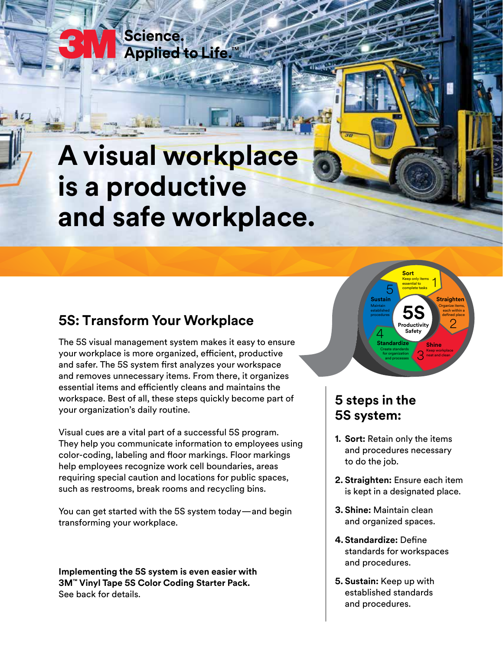# **A visual workplace is a productive and safe workplace.**

### **5S: Transform Your Workplace**

Science.

**Applied to Life** 

The 5S visual management system makes it easy to ensure your workplace is more organized, efficient, productive and safer. The 5S system first analyzes your workspace and removes unnecessary items. From there, it organizes essential items and efficiently cleans and maintains the workspace. Best of all, these steps quickly become part of your organization's daily routine.

Visual cues are a vital part of a successful 5S program. They help you communicate information to employees using color-coding, labeling and floor markings. Floor markings help employees recognize work cell boundaries, areas requiring special caution and locations for public spaces, such as restrooms, break rooms and recycling bins.

You can get started with the 5S system today—and begin transforming your workplace.

**Implementing the 5S system is even easier with 3M™ Vinyl Tape 5S Color Coding Starter Pack.**  See back for details.



## **5 steps in the 5S system:**

- **1. Sort:** Retain only the items and procedures necessary to do the job.
- **2. Straighten:** Ensure each item is kept in a designated place.
- **3. Shine:** Maintain clean and organized spaces.
- **4. Standardize:** Define standards for workspaces and procedures.
- **5. Sustain:** Keep up with established standards and procedures.